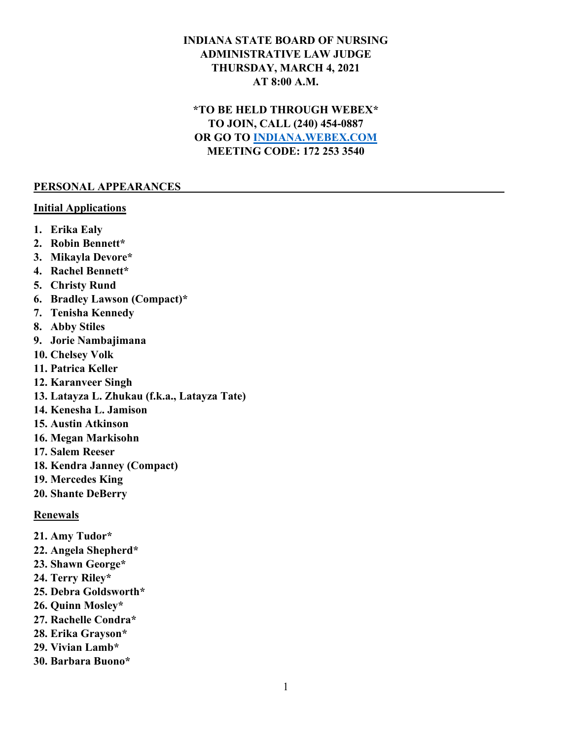## **INDIANA STATE BOARD OF NURSING ADMINISTRATIVE LAW JUDGE THURSDAY, MARCH 4, 2021 AT 8:00 A.M.**

# **\*TO BE HELD THROUGH WEBEX\* TO JOIN, CALL (240) 454-0887 OR GO TO [INDIANA.WEBEX.COM](https://indiana.webex.com/webappng/sites/indiana/dashboard?siteurl=indiana) MEETING CODE: 172 253 3540**

#### **PERSONAL APPEARANCES**

#### **Initial Applications**

- **1. Erika Ealy**
- **2. Robin Bennett\***
- **3. Mikayla Devore\***
- **4. Rachel Bennett\***
- **5. Christy Rund**
- **6. Bradley Lawson (Compact)\***
- **7. Tenisha Kennedy**
- **8. Abby Stiles**
- **9. Jorie Nambajimana**
- **10. Chelsey Volk**
- **11. Patrica Keller**
- **12. Karanveer Singh**
- **13. Latayza L. Zhukau (f.k.a., Latayza Tate)**
- **14. Kenesha L. Jamison**
- **15. Austin Atkinson**
- **16. Megan Markisohn**
- **17. Salem Reeser**
- **18. Kendra Janney (Compact)**
- **19. Mercedes King**
- **20. Shante DeBerry**

### **Renewals**

- **21. Amy Tudor\***
- **22. Angela Shepherd\***
- **23. Shawn George\***
- **24. Terry Riley\***
- **25. Debra Goldsworth\***
- **26. Quinn Mosley\***
- **27. Rachelle Condra\***
- **28. Erika Grayson\***
- **29. Vivian Lamb\***
- **30. Barbara Buono\***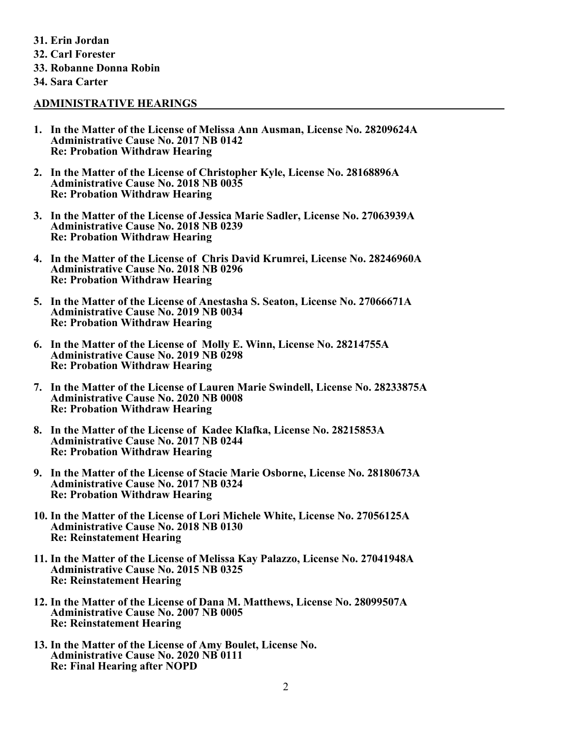**31. Erin Jordan 32. Carl Forester 33. Robanne Donna Robin 34. Sara Carter**

#### **ADMINISTRATIVE HEARINGS**

- **1. In the Matter of the License of Melissa Ann Ausman, License No. 28209624A Administrative Cause No. 2017 NB 0142 Re: Probation Withdraw Hearing**
- **2. In the Matter of the License of Christopher Kyle, License No. 28168896A Administrative Cause No. 2018 NB 0035 Re: Probation Withdraw Hearing**
- **3. In the Matter of the License of Jessica Marie Sadler, License No. 27063939A Administrative Cause No. 2018 NB 0239 Re: Probation Withdraw Hearing**
- **4. In the Matter of the License of Chris David Krumrei, License No. 28246960A Administrative Cause No. 2018 NB 0296 Re: Probation Withdraw Hearing**
- **5. In the Matter of the License of Anestasha S. Seaton, License No. 27066671A Administrative Cause No. 2019 NB 0034 Re: Probation Withdraw Hearing**
- **6. In the Matter of the License of Molly E. Winn, License No. 28214755A Administrative Cause No. 2019 NB 0298 Re: Probation Withdraw Hearing**
- **7. In the Matter of the License of Lauren Marie Swindell, License No. 28233875A Administrative Cause No. 2020 NB 0008 Re: Probation Withdraw Hearing**
- **8. In the Matter of the License of Kadee Klafka, License No. 28215853A Administrative Cause No. 2017 NB 0244 Re: Probation Withdraw Hearing**
- **9. In the Matter of the License of Stacie Marie Osborne, License No. 28180673A Administrative Cause No. 2017 NB 0324 Re: Probation Withdraw Hearing**
- **10. In the Matter of the License of Lori Michele White, License No. 27056125A Administrative Cause No. 2018 NB 0130 Re: Reinstatement Hearing**
- **11. In the Matter of the License of Melissa Kay Palazzo, License No. 27041948A Administrative Cause No. 2015 NB 0325 Re: Reinstatement Hearing**
- **12. In the Matter of the License of Dana M. Matthews, License No. 28099507A Administrative Cause No. 2007 NB 0005 Re: Reinstatement Hearing**
- **13. In the Matter of the License of Amy Boulet, License No. Administrative Cause No. 2020 NB 0111 Re: Final Hearing after NOPD**